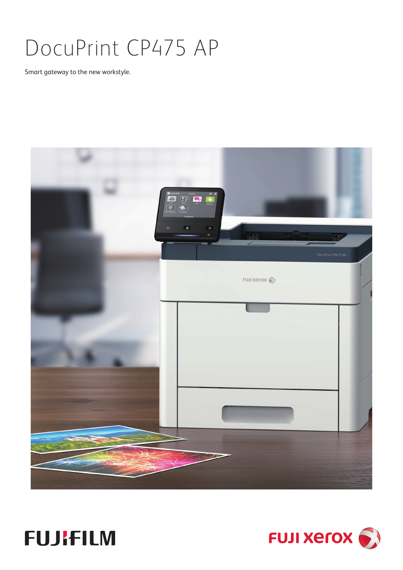# DocuPrint CP475 AP

Smart gateway to the new workstyle.





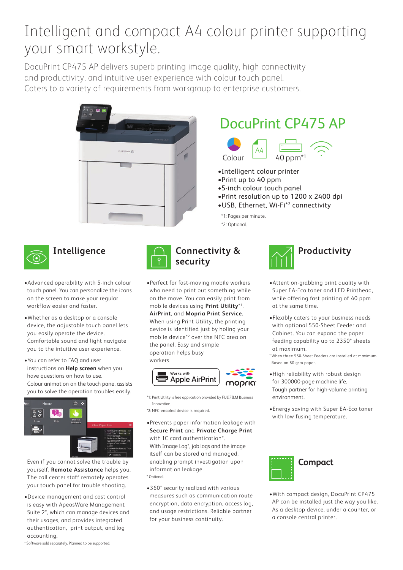## Intelligent and compact A4 colour printer supporting your smart workstyle.

DocuPrint CP475 AP delivers superb printing image quality, high connectivity and productivity, and intuitive user experience with colour touch panel. Caters to a variety of requirements from workgroup to enterprise customers.



## DocuPrint CP475 AP



- •Intelligent colour printer
- •Print up to 40 ppm
- •5-inch colour touch panel
- •Print resolution up to 1200 x 2400 dpi
- •USB, Ethernet, Wi-Fi\*2 connectivity

\*1: Pages per minute.

\*2: Optional.



- •Advanced operability with 5-inch colour touch panel. You can personalize the icons on the screen to make your regular workflow easier and faster.
- •Whether as a desktop or a console device, the adjustable touch panel lets you easily operate the device. Comfortable sound and light navigate you to the intuitive user experience.
- •You can refer to FAQ and user instructions on **Help screen** when you have questions on how to use. Colour animation on the touch panel assists you to solve the operation troubles easily.



Even if you cannot solve the trouble by yourself, **Remote Assistance** helps you. The call center staff remotely operates your touch panel for trouble shooting.

•Device management and cost control is easy with ApeosWare Management Suite 2\*, which can manage devices and their usages, and provides integrated authentication, print output, and log accounting.



•Perfect for fast-moving mobile workers who need to print out something while on the move. You can easily print from mobile devices using **Print Utility**\*1, **AirPrint**, and **Mopria Print Service**. When using Print Utility, the printing device is identified just by holing your mobile device\*2 over the NFC area on the panel. Easy and simple operation helps busy workers.



- \*1: Print Utility is free application provided by FUJIFILM Business Innovation.
- \*2: NFC-enabled device is required.
- •Prevents paper information leakage with **Secure Print** and **Private Charge Print** with IC card authentication\*. With Image Log\*, job logs and the image itself can be stored and managed, enabling prompt investigation upon information leakage. \* Optional.
- •360° security realized with various measures such as communication route encryption, data encryption, access log, and usage restrictions. Reliable partner for your business continuity.



- •Attention-grabbing print quality with Super EA-Eco toner and LED Printhead, while offering fast printing of 40 ppm at the same time.
- •Flexibly caters to your business needs with optional 550-Sheet Feeder and Cabinet. You can expand the paper feeding capability up to 2350\* sheets at maximum.

\* When three 550-Sheet Feeders are installed at maximum. Based on 80 gsm paper.

- •High reliability with robust design for 300000-page machine life. Tough partner for high-volume printing environment.
- •Energy saving with Super EA-Eco toner with low fusing temperature.



•With compact design, DocuPrint CP475 AP can be installed just the way you like. As a desktop device, under a counter, or a console central printer.

\* Software sold separately. Planned to be supported.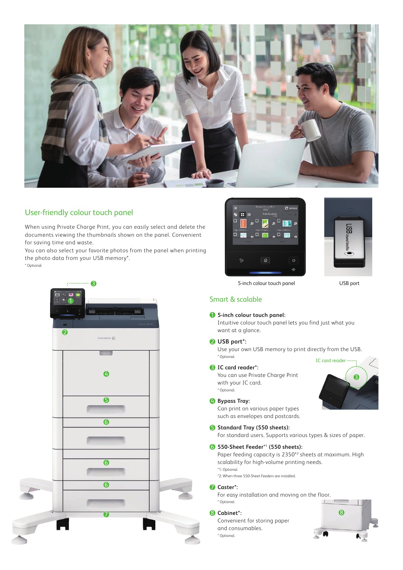

### User-friendly colour touch panel

When using Private Charge Print, you can easily select and delete the documents viewing the thumbnails shown on the panel. Convenient for saving time and waste.

You can also select your favorite photos from the panel when printing the photo data from your USB memory\*.





USB port

### Smart & scalable

#### 1 **5-inch colour touch panel:**

Intuitive colour touch panel lets you find just what you want at a glance.

#### 2 **USB port\*:**

Use your own USB memory to print directly from the USB. \* Optional.

#### 3 **IC card reader\*:**

You can use Private Charge Print with your IC card. \* Optional.

#### 4 **Bypass Tray:**

Can print on various paper types such as envelopes and postcards.

#### **6** Standard Tray (550 sheets):

For standard users. Supports various types & sizes of paper.

#### 6 **550-Sheet Feeder**\*1  **(550 sheets):**

Paper feeding capacity is 2350<sup>\*2</sup> sheets at maximum. High scalability for high-volume printing needs. \*1: Optional.

\*2: When three 550-Sheet Feeders are installed.

#### 7 **Caster\*:**

For easy installation and moving on the floor. \* Optional.

Convenient for storing paper and consumables. \* Optional.